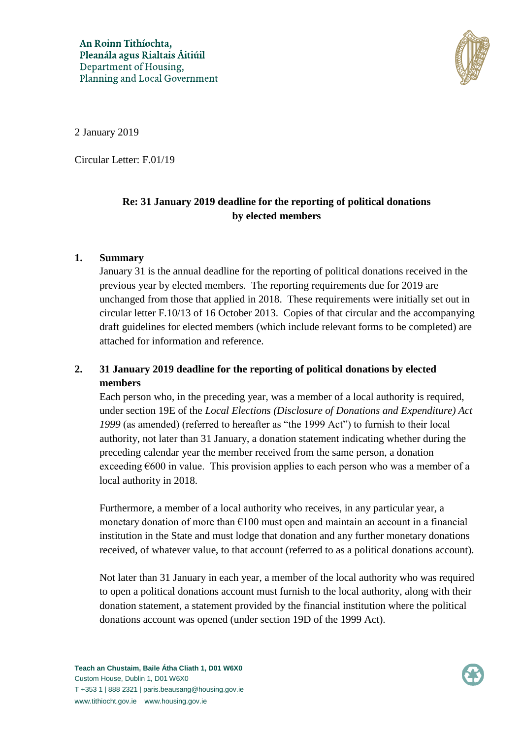

2 January 2019

Circular Letter: F.01/19

## **Re: 31 January 2019 deadline for the reporting of political donations by elected members**

## **1. Summary**

January 31 is the annual deadline for the reporting of political donations received in the previous year by elected members. The reporting requirements due for 2019 are unchanged from those that applied in 2018. These requirements were initially set out in circular letter F.10/13 of 16 October 2013. Copies of that circular and the accompanying draft guidelines for elected members (which include relevant forms to be completed) are attached for information and reference.

## **2. 31 January 2019 deadline for the reporting of political donations by elected members**

Each person who, in the preceding year, was a member of a local authority is required, under section 19E of the *Local Elections (Disclosure of Donations and Expenditure) Act 1999* (as amended) (referred to hereafter as "the 1999 Act") to furnish to their local authority, not later than 31 January, a donation statement indicating whether during the preceding calendar year the member received from the same person, a donation exceeding  $\epsilon$ 600 in value. This provision applies to each person who was a member of a local authority in 2018.

Furthermore, a member of a local authority who receives, in any particular year, a monetary donation of more than  $\epsilon$ 100 must open and maintain an account in a financial institution in the State and must lodge that donation and any further monetary donations received, of whatever value, to that account (referred to as a political donations account).

Not later than 31 January in each year, a member of the local authority who was required to open a political donations account must furnish to the local authority, along with their donation statement, a statement provided by the financial institution where the political donations account was opened (under section 19D of the 1999 Act).